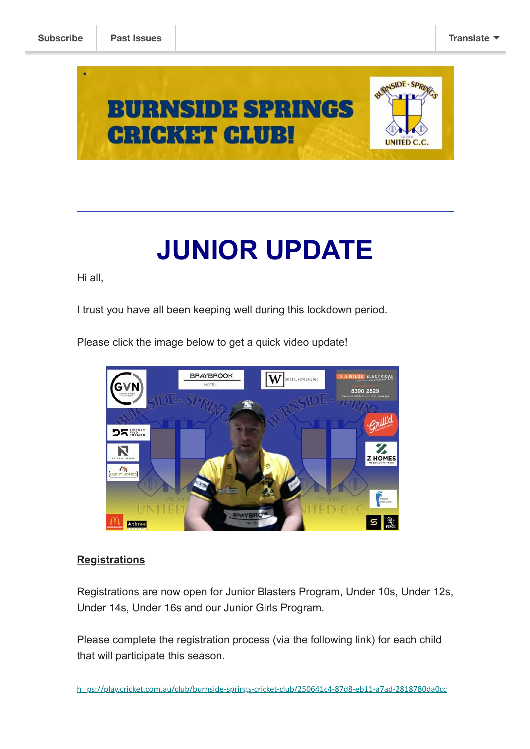

# **JUNIOR UPDATE**

Hi all,

I trust you have all been keeping well during this lockdown period.

**BRAYBROOK** VILDE ELECTRICAL w **WITCHMOUNT** 8390 2829  $\sim$ nill $d$ **DRESSING EXAMPLE** 

Please click the image below to get a quick video update!

#### **Registrations**

Athree

**State State** 

Registrations are now open for Junior Blasters Program, Under 10s, Under 12s, Under 14s, Under 16s and our Junior Girls Program.

ତ ।  $\mathbb{R}$ 

Please complete the registration process (via the following link) for each child that will participate this season.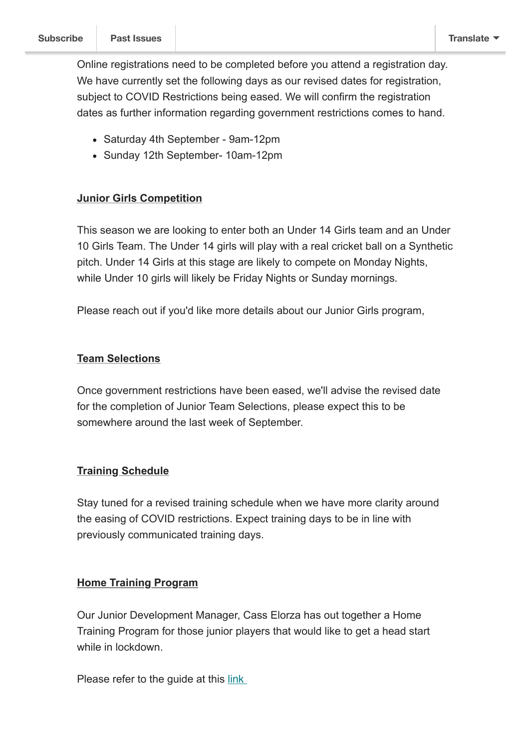Online registrations need to be completed before you attend a registration day. We have currently set the following days as our revised dates for registration, subject to COVID Restrictions being eased. We will confirm the registration dates as further information regarding government restrictions comes to hand.

- Saturday 4th September 9am-12pm
- Sunday 12th September- 10am-12pm

#### **Junior Girls Competition**

This season we are looking to enter both an Under 14 Girls team and an Under 10 Girls Team. The Under 14 girls will play with a real cricket ball on a Synthetic pitch. Under 14 Girls at this stage are likely to compete on Monday Nights, while Under 10 girls will likely be Friday Nights or Sunday mornings.

Please reach out if you'd like more details about our Junior Girls program,

#### **Team Selections**

Once government restrictions have been eased, we'll advise the revised date for the completion of Junior Team Selections, please expect this to be somewhere around the last week of September.

### **Training Schedule**

Stay tuned for a revised training schedule when we have more clarity around the easing of COVID restrictions. Expect training days to be in line with previously communicated training days.

### **Home Training Program**

Our Junior Development Manager, Cass Elorza has out together a Home Training Program for those junior players that would like to get a head start while in lockdown.

Please refer to the guide at this link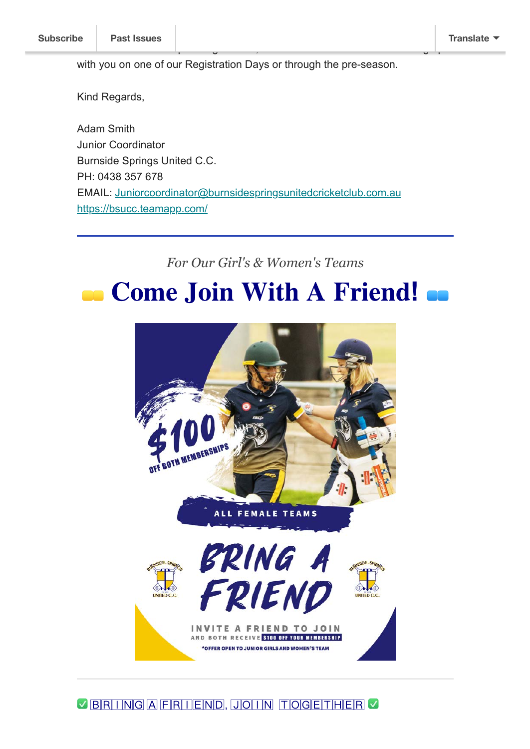with you on one of our Registration Days or through the pre-season.

further detail on the upcoming season, otherwise I look forward to catching up

Kind Regards,

Adam Smith Junior Coordinator Burnside Springs United C.C. PH: 0438 357 678 EMAIL: [Juniorcoordinator@burnsidespringsunitedcricketclub.com.au](mailto:Juniorcoordinator@burnsidespringsunitedcricketclub.com.au) <https://bsucc.teamapp.com/>

*For Our Girl's & Women's Teams*

# **Come Join With A Friend! ...**



**BRITNGAFRITEND, JOHN TOGETHER**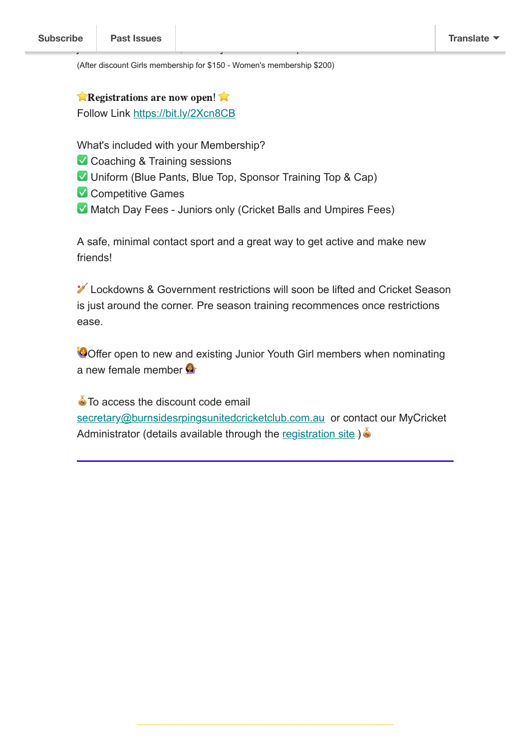(After discount Girls membership for \$150 - Women's membership \$200)

join and both receive \$100 off your memberships.

**Example 2 Registrations are now open!** Follow Link [https://bit.ly/2Xcn8CB](https://bit.ly/2Xcn8CB?fbclid=IwAR06diikf1py_bzQntX4DQzN8Hf9wbCPrTTfTxsui0hQmarXLye2Y7yJ2Oo)

What's included with your Membership?

- Coaching & Training sessions
- **V** Uniform (Blue Pants, Blue Top, Sponsor Training Top & Cap)
- Competitive Games
- **Match Day Fees Juniors only (Cricket Balls and Umpires Fees)**

A safe, minimal contact sport and a great way to get active and make new friends!

**X** Lockdowns & Government restrictions will soon be lifted and Cricket Season is just around the corner. Pre season training recommences once restrictions ease.

Offer open to new and existing Junior Youth Girl members when nominating a new female member

 $\bullet$  To access the discount code email [secretary@burnsidesrpingsunitedcricketclub.com.au](mailto:secretary@burnsidesrpingsunitedcricketclub.com.au?subject=Girls%20Bring%20a%20friend%20discount%20code) or contact our MyCricket Administrator (details available through the [registration site](https://bit.ly/2Xcn8CB)  $\mathcal{E}$ )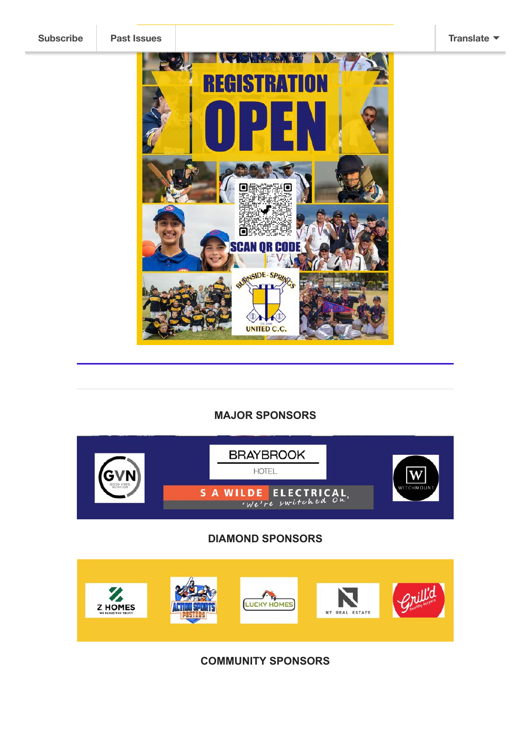

#### **MAJOR SPONSORS**



## **DIAMOND SPONSORS**



**COMMUNITY SPONSORS**